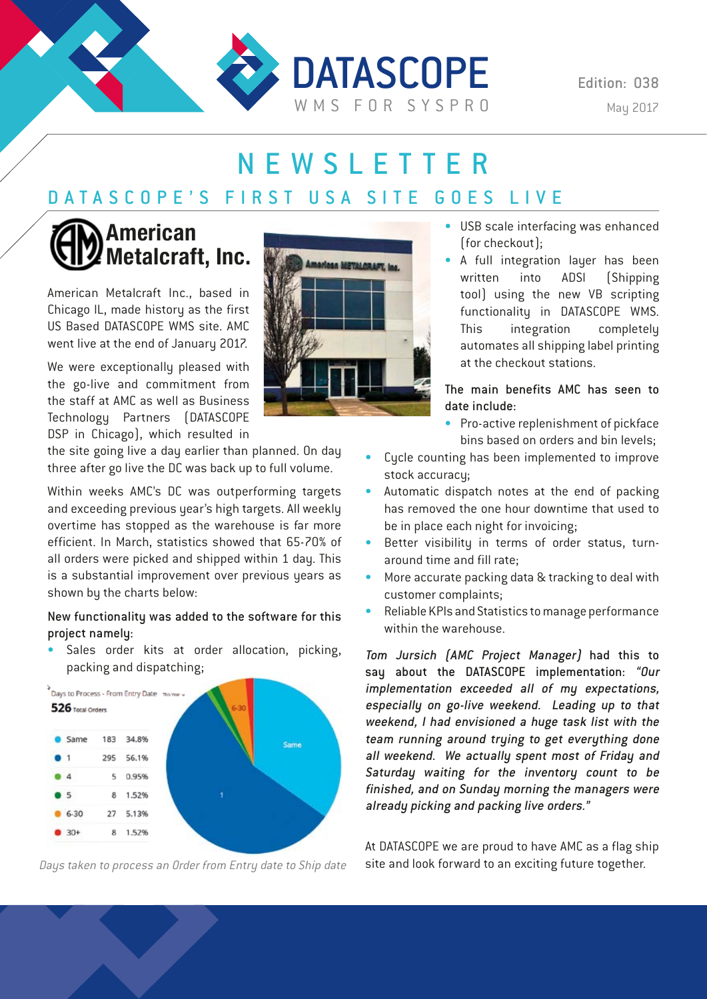

Edition: 038

# NEWSLETTER

## DATASCOPE'S FIRST USA SITE GOES LIVE

## **American Metalcraft, Inc.**

American Metalcraft Inc., based in Chicago IL, made history as the first US Based DATASCOPE WMS site. AMC went live at the end of January 2017.

We were exceptionally pleased with the go-live and commitment from the staff at AMC as well as Business Technology Partners (DATASCOPE DSP in Chicago), which resulted in

the site going live a day earlier than planned. On day three after go live the DC was back up to full volume.

Within weeks AMC's DC was outperforming targets and exceeding previous year's high targets. All weekly overtime has stopped as the warehouse is far more efficient. In March, statistics showed that 65-70% of all orders were picked and shipped within 1 day. This is a substantial improvement over previous years as shown by the charts below:

#### New functionality was added to the software for this project namely:

• Sales order kits at order allocation, picking, packing and dispatching;





- USB scale interfacing was enhanced (for checkout);
- A full integration layer has been written into ADSI (Shipping tool) using the new VB scripting functionality in DATASCOPE WMS. This integration completely automates all shipping label printing at the checkout stations.

The main benefits AMC has seen to date include:

- Pro-active replenishment of pickface bins based on orders and bin levels;
- Cycle counting has been implemented to improve stock accuracy;
- Automatic dispatch notes at the end of packing has removed the one hour downtime that used to be in place each night for invoicing;
- Better visibility in terms of order status, turnaround time and fill rate;
- More accurate packing data & tracking to deal with customer complaints;
- Reliable KPIs and Statistics to manage performance within the warehouse.

Tom Jursich (AMC Project Manager) had this to say about the DATASCOPE implementation: "Our implementation exceeded all of my expectations, especially on go-live weekend. Leading up to that weekend, I had envisioned a huge task list with the team running around trying to get everything done all weekend. We actually spent most of Friday and Saturday waiting for the inventory count to be finished, and on Sunday morning the managers were already picking and packing live orders."

At DATASCOPE we are proud to have AMC as a flag ship Days taken to process an Order from Entry date to Ship date site and look forward to an exciting future together.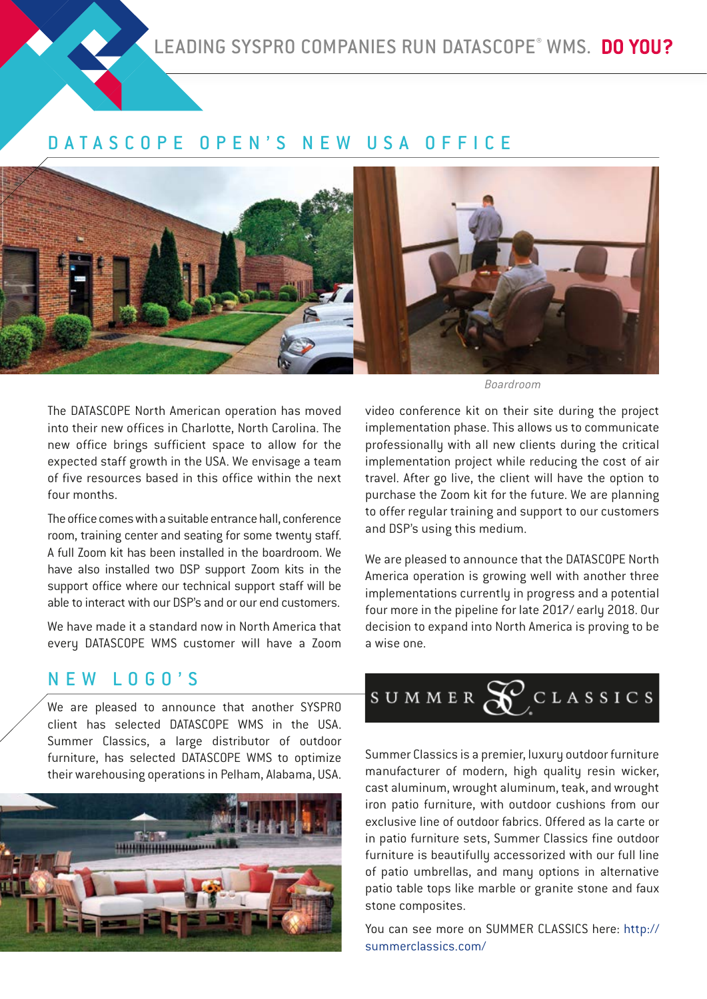### DATASCOPE OPEN'S NEW USA OFFICE



The DATASCOPE North American operation has moved into their new offices in Charlotte, North Carolina. The new office brings sufficient space to allow for the expected staff growth in the USA. We envisage a team of five resources based in this office within the next four months.

The office comes with a suitable entrance hall, conference room, training center and seating for some twenty staff. A full Zoom kit has been installed in the boardroom. We have also installed two DSP support Zoom kits in the support office where our technical support staff will be able to interact with our DSP's and or our end customers.

We have made it a standard now in North America that every DATASCOPE WMS customer will have a Zoom

Boardroom

video conference kit on their site during the project implementation phase. This allows us to communicate professionally with all new clients during the critical implementation project while reducing the cost of air travel. After go live, the client will have the option to purchase the Zoom kit for the future. We are planning to offer regular training and support to our customers and DSP's using this medium.

We are pleased to announce that the DATASCOPE North America operation is growing well with another three implementations currently in progress and a potential four more in the pipeline for late 2017/ early 2018. Our decision to expand into North America is proving to be a wise one.

### NEW LOGO'S

We are pleased to announce that another SYSPRO client has selected DATASCOPE WMS in the USA. Summer Classics, a large distributor of outdoor furniture, has selected DATASCOPE WMS to optimize their warehousing operations in Pelham, Alabama, USA.



# SUMMER  $\mathcal{S}$  CLASSICS

Summer Classics is a premier, luxury outdoor furniture manufacturer of modern, high quality resin wicker, cast aluminum, wrought aluminum, teak, and wrought iron patio furniture, with outdoor cushions from our exclusive line of outdoor fabrics. Offered as la carte or in patio furniture sets, Summer Classics fine outdoor furniture is beautifully accessorized with our full line of patio umbrellas, and many options in alternative patio table tops like marble or granite stone and faux stone composites.

You can see more on SUMMER CLASSICS here: http:// summerclassics.com/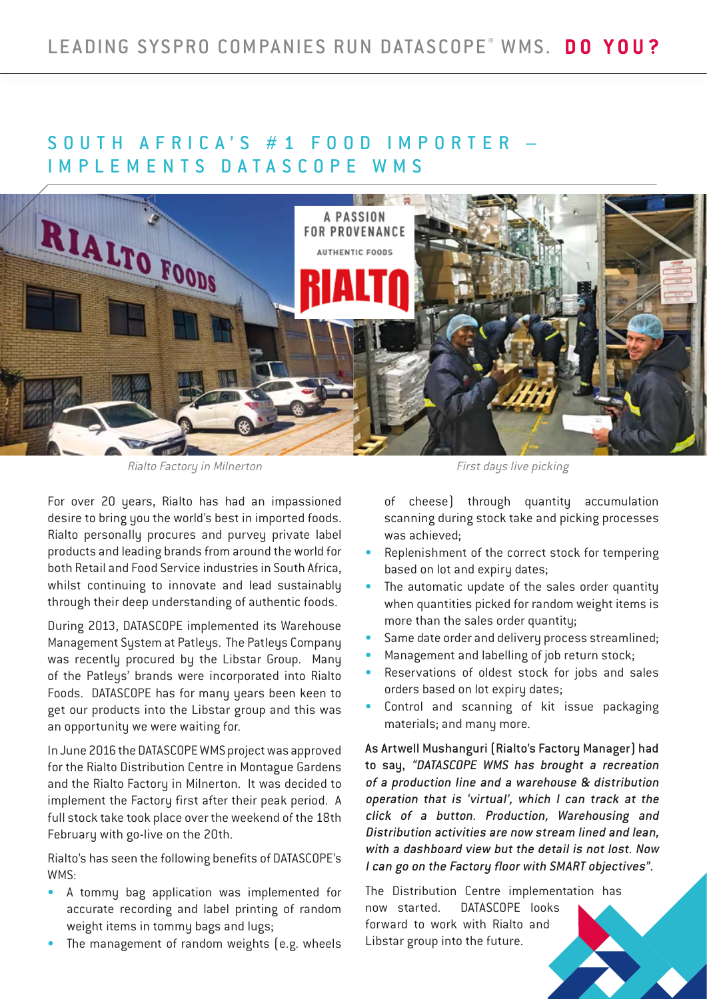### SOUTH AFRICA'S #1 FOOD IMPORTER -IMPLEMENTS DATASCOPE WMS



Rialto Factory in Milnerton First days live picking

For over 20 years, Rialto has had an impassioned desire to bring you the world's best in imported foods. Rialto personally procures and purvey private label products and leading brands from around the world for both Retail and Food Service industries in South Africa, whilst continuing to innovate and lead sustainably through their deep understanding of authentic foods.

During 2013, DATASCOPE implemented its Warehouse Management System at Patleys. The Patleys Company was recently procured by the Libstar Group. Many of the Patleys' brands were incorporated into Rialto Foods. DATASCOPE has for many years been keen to get our products into the Libstar group and this was an opportunity we were waiting for.

In June 2016 the DATASCOPE WMS project was approved for the Rialto Distribution Centre in Montague Gardens and the Rialto Factory in Milnerton. It was decided to implement the Factory first after their peak period. A full stock take took place over the weekend of the 18th February with go-live on the 20th.

Rialto's has seen the following benefits of DATASCOPE's WMS:

- A tommy bag application was implemented for accurate recording and label printing of random weight items in tommy bags and lugs;
- The management of random weights (e.g. wheels

of cheese) through quantity accumulation scanning during stock take and picking processes was achieved;

- Replenishment of the correct stock for tempering based on lot and expiry dates;
- The automatic update of the sales order quantity when quantities picked for random weight items is more than the sales order quantity;
- Same date order and delivery process streamlined;
- Management and labelling of job return stock;
- Reservations of oldest stock for jobs and sales orders based on lot expiry dates;
- Control and scanning of kit issue packaging materials; and many more.

As Artwell Mushanguri (Rialto's Factory Manager) had to say, "DATASCOPE WMS has brought a recreation of a production line and a warehouse & distribution operation that is 'virtual', which I can track at the click of a button. Production, Warehousing and Distribution activities are now stream lined and lean, with a dashboard view but the detail is not lost. Now I can go on the Factory floor with SMART objectives".

The Distribution Centre implementation has now started. DATASCOPE looks forward to work with Rialto and Libstar group into the future.